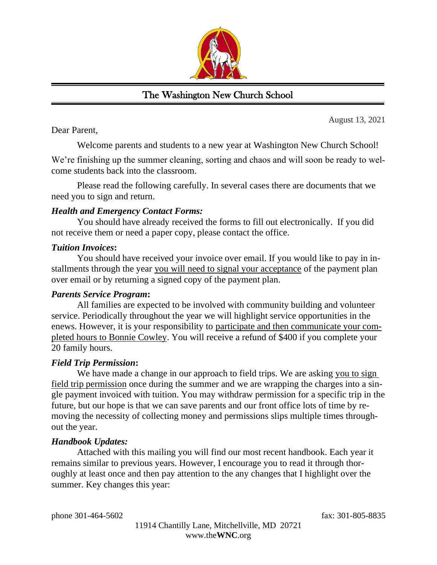

# The Washington New Church School

August 13, 2021

Dear Parent,

Welcome parents and students to a new year at Washington New Church School!

We're finishing up the summer cleaning, sorting and chaos and will soon be ready to welcome students back into the classroom.

Please read the following carefully. In several cases there are documents that we need you to sign and return.

## *Health and Emergency Contact Forms:*

You should have already received the forms to fill out electronically. If you did not receive them or need a paper copy, please contact the office.

### *Tuition Invoices***:**

You should have received your invoice over email. If you would like to pay in installments through the year you will need to signal your acceptance of the payment plan over email or by returning a signed copy of the payment plan.

#### *Parents Service Program***:**

All families are expected to be involved with community building and volunteer service. Periodically throughout the year we will highlight service opportunities in the enews. However, it is your responsibility to participate and then communicate your completed hours to Bonnie Cowley. You will receive a refund of \$400 if you complete your 20 family hours.

## *Field Trip Permission***:**

We have made a change in our approach to field trips. We are asking you to sign field trip permission once during the summer and we are wrapping the charges into a single payment invoiced with tuition. You may withdraw permission for a specific trip in the future, but our hope is that we can save parents and our front office lots of time by removing the necessity of collecting money and permissions slips multiple times throughout the year.

## *Handbook Updates:*

Attached with this mailing you will find our most recent handbook. Each year it remains similar to previous years. However, I encourage you to read it through thoroughly at least once and then pay attention to the any changes that I highlight over the summer. Key changes this year: